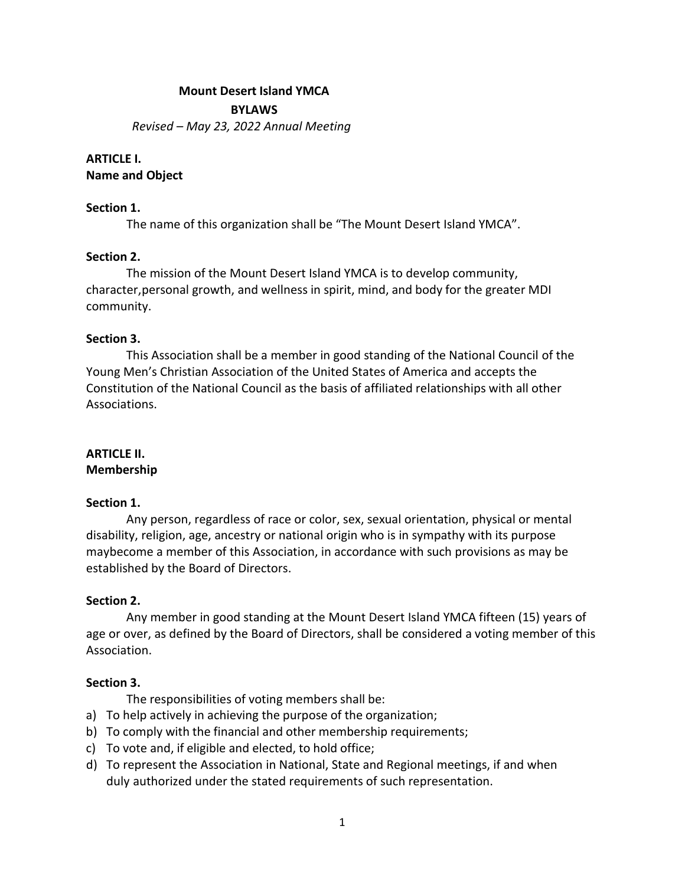#### **Mount Desert Island YMCA**

**BYLAWS**

*Revised – May 23, 2022 Annual Meeting*

#### **ARTICLE I. Name and Object**

### **Section 1.**

The name of this organization shall be "The Mount Desert Island YMCA".

### **Section 2.**

The mission of the Mount Desert Island YMCA is to develop community, character, personal growth, and wellness in spirit, mind, and body for the greater MDI community.

# **Section 3.**

This Association shall be a member in good standing of the National Council of the Young Men's Christian Association of the United States of America and accepts the Constitution of the National Council as the basis of affiliated relationships with all other Associations.

# **ARTICLE II.**

### **Membership**

### **Section 1.**

Any person, regardless of race or color, sex, sexual orientation, physical or mental disability, religion, age, ancestry or national origin who is in sympathy with its purpose maybecome a member of this Association, in accordance with such provisions as may be established by the Board of Directors.

### **Section 2.**

Any member in good standing at the Mount Desert Island YMCA fifteen (15) years of age or over, as defined by the Board of Directors, shall be considered a voting member of this Association.

# **Section 3.**

The responsibilities of voting members shall be:

- a) To help actively in achieving the purpose of the organization;
- b) To comply with the financial and other membership requirements;
- c) To vote and, if eligible and elected, to hold office;
- d) To represent the Association in National, State and Regional meetings, if and when duly authorized under the stated requirements of such representation.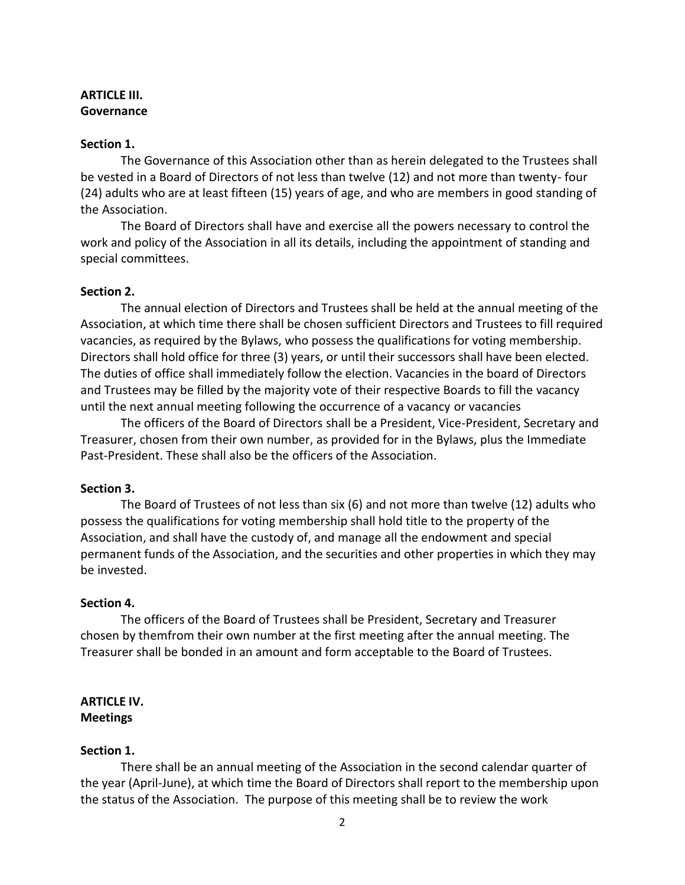# **ARTICLE III. Governance**

### **Section 1.**

The Governance of this Association other than as herein delegated to the Trustees shall be vested in a Board of Directors of not less than twelve (12) and not more than twenty- four (24) adults who are at least fifteen (15) years of age, and who are members in good standing of the Association.

The Board of Directors shall have and exercise all the powers necessary to control the work and policy of the Association in all its details, including the appointment of standing and special committees.

#### **Section 2.**

The annual election of Directors and Trustees shall be held at the annual meeting of the Association, at which time there shall be chosen sufficient Directors and Trustees to fill required vacancies, as required by the Bylaws, who possess the qualifications for voting membership. Directors shall hold office for three (3) years, or until their successors shall have been elected. The duties of office shall immediately follow the election. Vacancies in the board of Directors and Trustees may be filled by the majority vote of their respective Boards to fill the vacancy until the next annual meeting following the occurrence of a vacancy or vacancies

The officers of the Board of Directors shall be a President, Vice-President, Secretary and Treasurer, chosen from their own number, as provided for in the Bylaws, plus the Immediate Past-President. These shall also be the officers of the Association.

#### **Section 3.**

The Board of Trustees of not less than six (6) and not more than twelve (12) adults who possess the qualifications for voting membership shall hold title to the property of the Association, and shall have the custody of, and manage all the endowment and special permanent funds of the Association, and the securities and other properties in which they may be invested.

#### **Section 4.**

The officers of the Board of Trustees shall be President, Secretary and Treasurer chosen by themfrom their own number at the first meeting after the annual meeting. The Treasurer shall be bonded in an amount and form acceptable to the Board of Trustees.

#### **ARTICLE IV. Meetings**

### **Section 1.**

There shall be an annual meeting of the Association in the second calendar quarter of the year (April-June), at which time the Board of Directors shall report to the membership upon the status of the Association. The purpose of this meeting shall be to review the work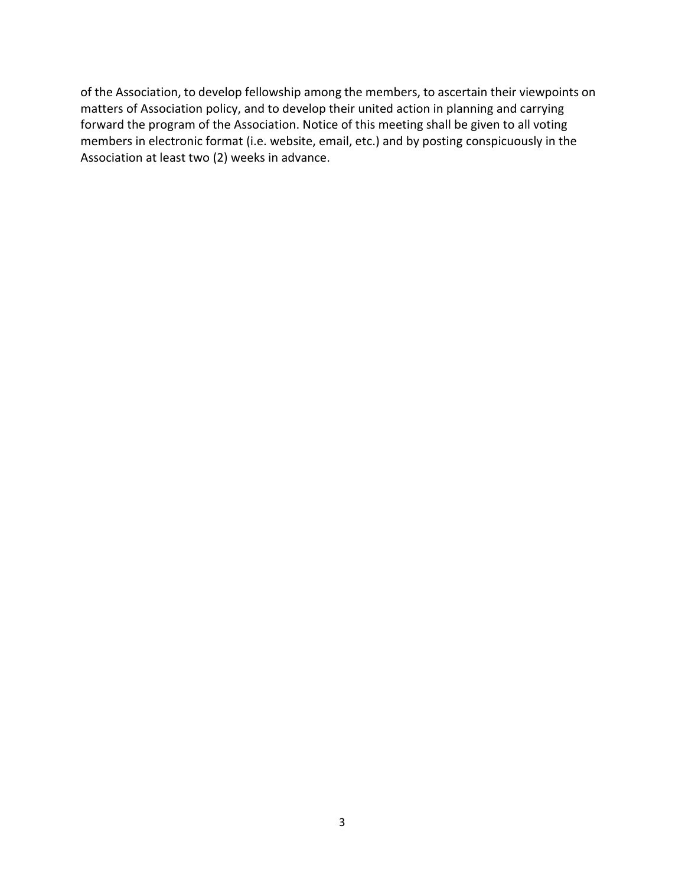of the Association, to develop fellowship among the members, to ascertain their viewpoints on matters of Association policy, and to develop their united action in planning and carrying forward the program of the Association. Notice of this meeting shall be given to all voting members in electronic format (i.e. website, email, etc.) and by posting conspicuously in the Association at least two (2) weeks in advance.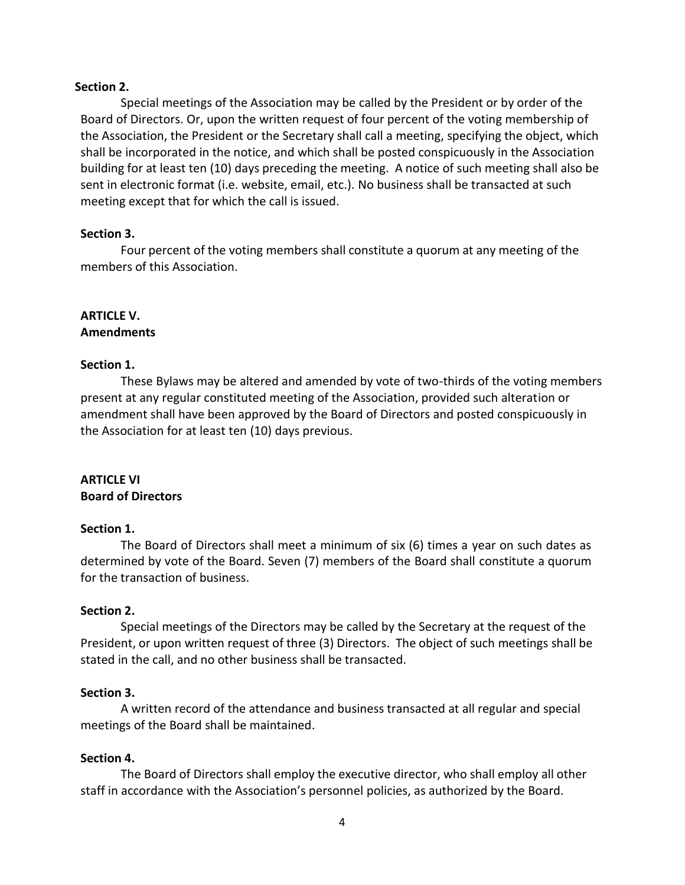#### **Section 2.**

Special meetings of the Association may be called by the President or by order of the Board of Directors. Or, upon the written request of four percent of the voting membership of the Association, the President or the Secretary shall call a meeting, specifying the object, which shall be incorporated in the notice, and which shall be posted conspicuously in the Association building for at least ten (10) days preceding the meeting. A notice of such meeting shall also be sent in electronic format (i.e. website, email, etc.). No business shall be transacted at such meeting except that for which the call is issued.

# **Section 3.**

Four percent of the voting members shall constitute a quorum at any meeting of the members of this Association.

### **ARTICLE V. Amendments**

# **Section 1.**

These Bylaws may be altered and amended by vote of two-thirds of the voting members present at any regular constituted meeting of the Association, provided such alteration or amendment shall have been approved by the Board of Directors and posted conspicuously in the Association for at least ten (10) days previous.

# **ARTICLE VI Board of Directors**

### **Section 1.**

The Board of Directors shall meet a minimum of six (6) times a year on such dates as determined by vote of the Board. Seven (7) members of the Board shall constitute a quorum for the transaction of business.

### **Section 2.**

Special meetings of the Directors may be called by the Secretary at the request of the President, or upon written request of three (3) Directors. The object of such meetings shall be stated in the call, and no other business shall be transacted.

### **Section 3.**

A written record of the attendance and business transacted at all regular and special meetings of the Board shall be maintained.

### **Section 4.**

The Board of Directors shall employ the executive director, who shall employ all other staff in accordance with the Association's personnel policies, as authorized by the Board.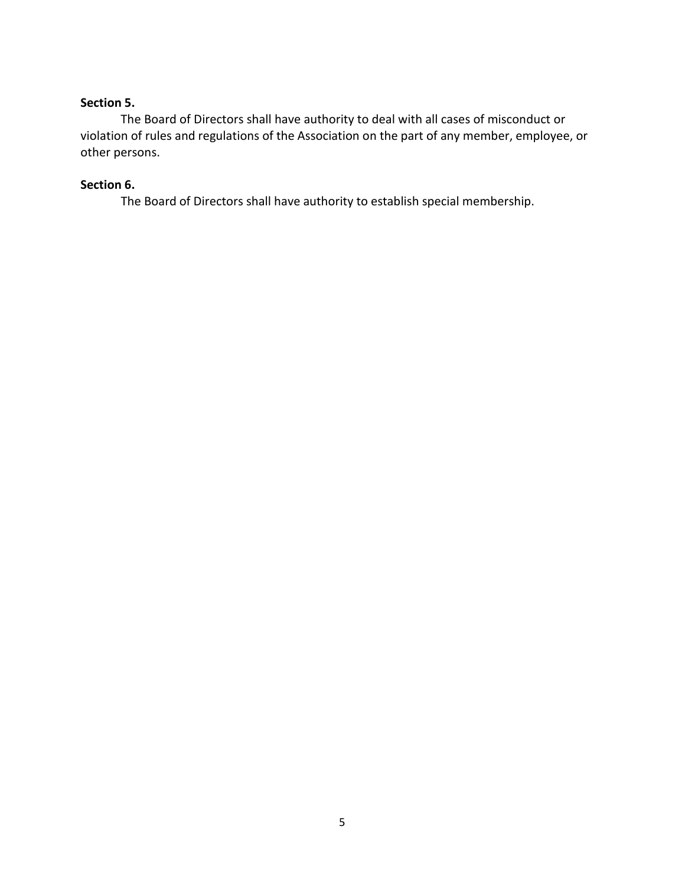# **Section 5.**

The Board of Directors shall have authority to deal with all cases of misconduct or violation of rules and regulations of the Association on the part of any member, employee, or other persons.

# **Section 6.**

The Board of Directors shall have authority to establish special membership.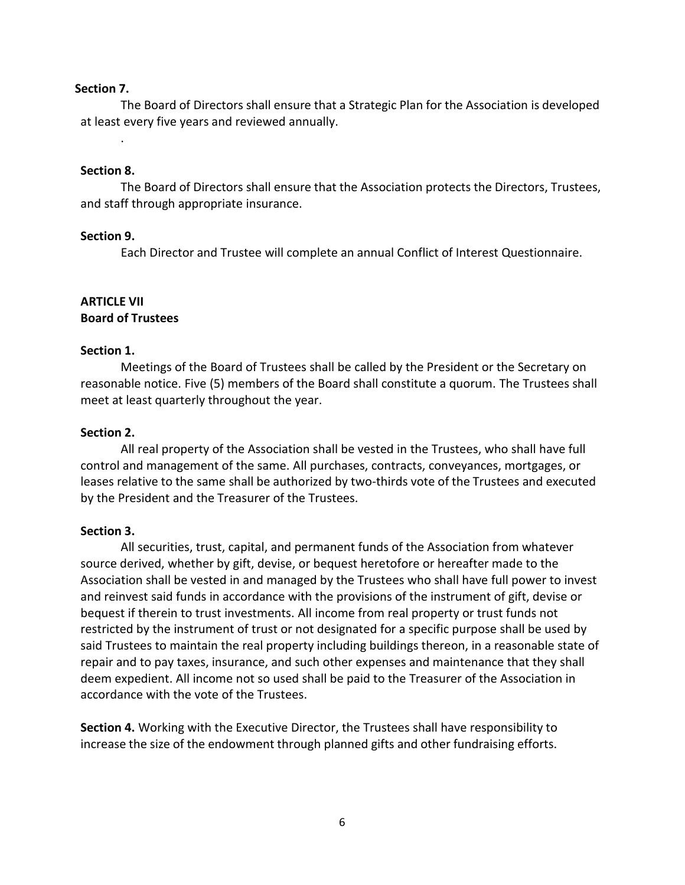#### **Section 7.**

The Board of Directors shall ensure that a Strategic Plan for the Association is developed at least every five years and reviewed annually.

#### **Section 8.**

.

The Board of Directors shall ensure that the Association protects the Directors, Trustees, and staff through appropriate insurance.

#### **Section 9.**

Each Director and Trustee will complete an annual Conflict of Interest Questionnaire.

#### **ARTICLE VII Board of Trustees**

### **Section 1.**

Meetings of the Board of Trustees shall be called by the President or the Secretary on reasonable notice. Five (5) members of the Board shall constitute a quorum. The Trustees shall meet at least quarterly throughout the year.

#### **Section 2.**

All real property of the Association shall be vested in the Trustees, who shall have full control and management of the same. All purchases, contracts, conveyances, mortgages, or leases relative to the same shall be authorized by two-thirds vote of the Trustees and executed by the President and the Treasurer of the Trustees.

#### **Section 3.**

All securities, trust, capital, and permanent funds of the Association from whatever source derived, whether by gift, devise, or bequest heretofore or hereafter made to the Association shall be vested in and managed by the Trustees who shall have full power to invest and reinvest said funds in accordance with the provisions of the instrument of gift, devise or bequest if therein to trust investments. All income from real property or trust funds not restricted by the instrument of trust or not designated for a specific purpose shall be used by said Trustees to maintain the real property including buildings thereon, in a reasonable state of repair and to pay taxes, insurance, and such other expenses and maintenance that they shall deem expedient. All income not so used shall be paid to the Treasurer of the Association in accordance with the vote of the Trustees.

**Section 4.** Working with the Executive Director, the Trustees shall have responsibility to increase the size of the endowment through planned gifts and other fundraising efforts.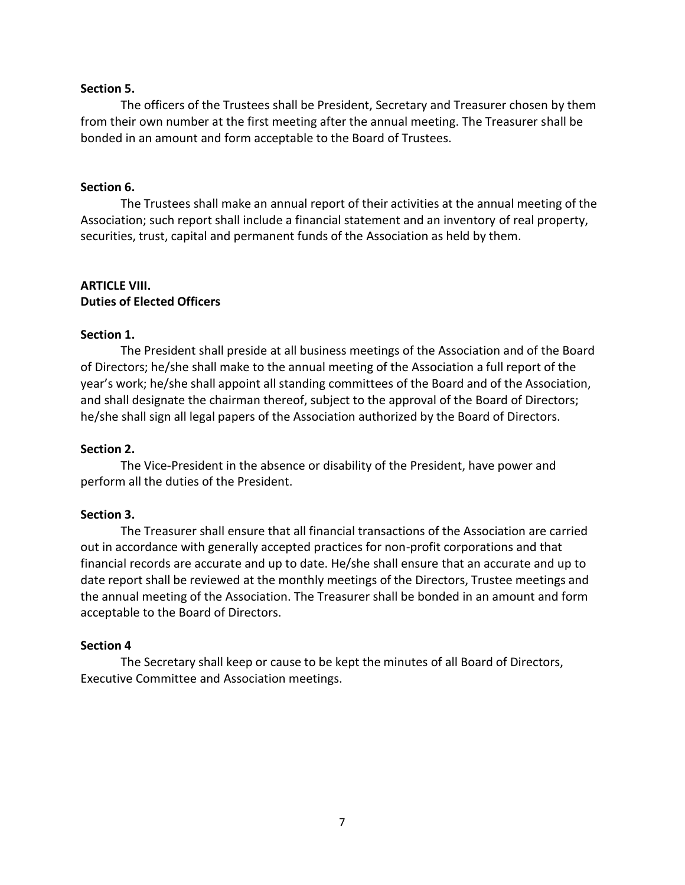#### **Section 5.**

The officers of the Trustees shall be President, Secretary and Treasurer chosen by them from their own number at the first meeting after the annual meeting. The Treasurer shall be bonded in an amount and form acceptable to the Board of Trustees.

#### **Section 6.**

The Trustees shall make an annual report of their activities at the annual meeting of the Association; such report shall include a financial statement and an inventory of real property, securities, trust, capital and permanent funds of the Association as held by them.

# **ARTICLE VIII. Duties of Elected Officers**

#### **Section 1.**

The President shall preside at all business meetings of the Association and of the Board of Directors; he/she shall make to the annual meeting of the Association a full report of the year's work; he/she shall appoint all standing committees of the Board and of the Association, and shall designate the chairman thereof, subject to the approval of the Board of Directors; he/she shall sign all legal papers of the Association authorized by the Board of Directors.

#### **Section 2.**

The Vice-President in the absence or disability of the President, have power and perform all the duties of the President.

### **Section 3.**

The Treasurer shall ensure that all financial transactions of the Association are carried out in accordance with generally accepted practices for non-profit corporations and that financial records are accurate and up to date. He/she shall ensure that an accurate and up to date report shall be reviewed at the monthly meetings of the Directors, Trustee meetings and the annual meeting of the Association. The Treasurer shall be bonded in an amount and form acceptable to the Board of Directors.

#### **Section 4**

The Secretary shall keep or cause to be kept the minutes of all Board of Directors, Executive Committee and Association meetings.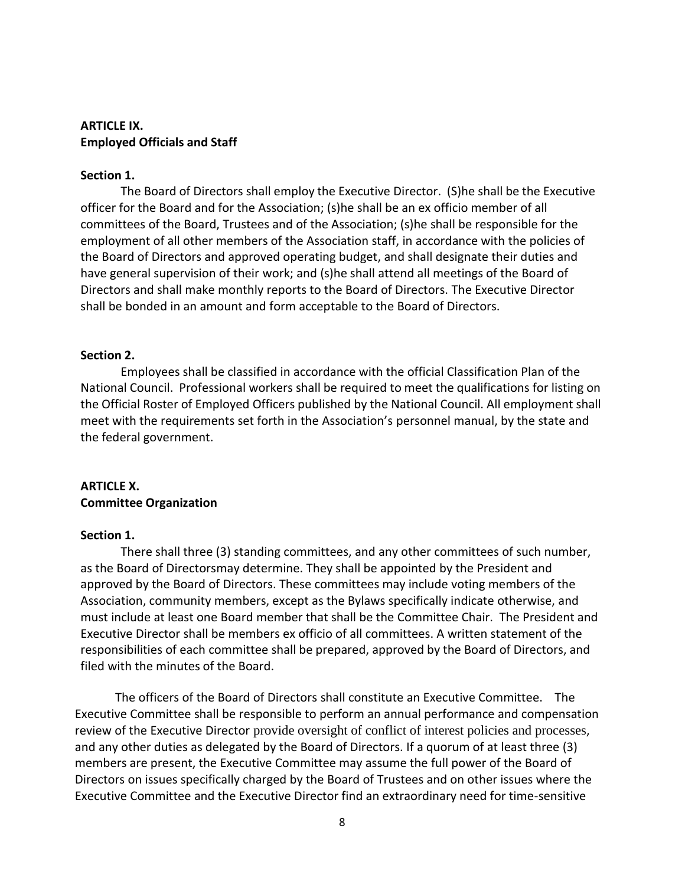### **ARTICLE IX. Employed Officials and Staff**

### **Section 1.**

The Board of Directors shall employ the Executive Director. (S)he shall be the Executive officer for the Board and for the Association; (s)he shall be an ex officio member of all committees of the Board, Trustees and of the Association; (s)he shall be responsible for the employment of all other members of the Association staff, in accordance with the policies of the Board of Directors and approved operating budget, and shall designate their duties and have general supervision of their work; and (s)he shall attend all meetings of the Board of Directors and shall make monthly reports to the Board of Directors. The Executive Director shall be bonded in an amount and form acceptable to the Board of Directors.

#### **Section 2.**

Employees shall be classified in accordance with the official Classification Plan of the National Council. Professional workers shall be required to meet the qualifications for listing on the Official Roster of Employed Officers published by the National Council. All employment shall meet with the requirements set forth in the Association's personnel manual, by the state and the federal government.

# **ARTICLE X. Committee Organization**

#### **Section 1.**

There shall three (3) standing committees, and any other committees of such number, as the Board of Directorsmay determine. They shall be appointed by the President and approved by the Board of Directors. These committees may include voting members of the Association, community members, except as the Bylaws specifically indicate otherwise, and must include at least one Board member that shall be the Committee Chair. The President and Executive Director shall be members ex officio of all committees. A written statement of the responsibilities of each committee shall be prepared, approved by the Board of Directors, and filed with the minutes of the Board.

The officers of the Board of Directors shall constitute an Executive Committee. The Executive Committee shall be responsible to perform an annual performance and compensation review of the Executive Director provide oversight of conflict of interest policies and processes, and any other duties as delegated by the Board of Directors. If a quorum of at least three (3) members are present, the Executive Committee may assume the full power of the Board of Directors on issues specifically charged by the Board of Trustees and on other issues where the Executive Committee and the Executive Director find an extraordinary need for time-sensitive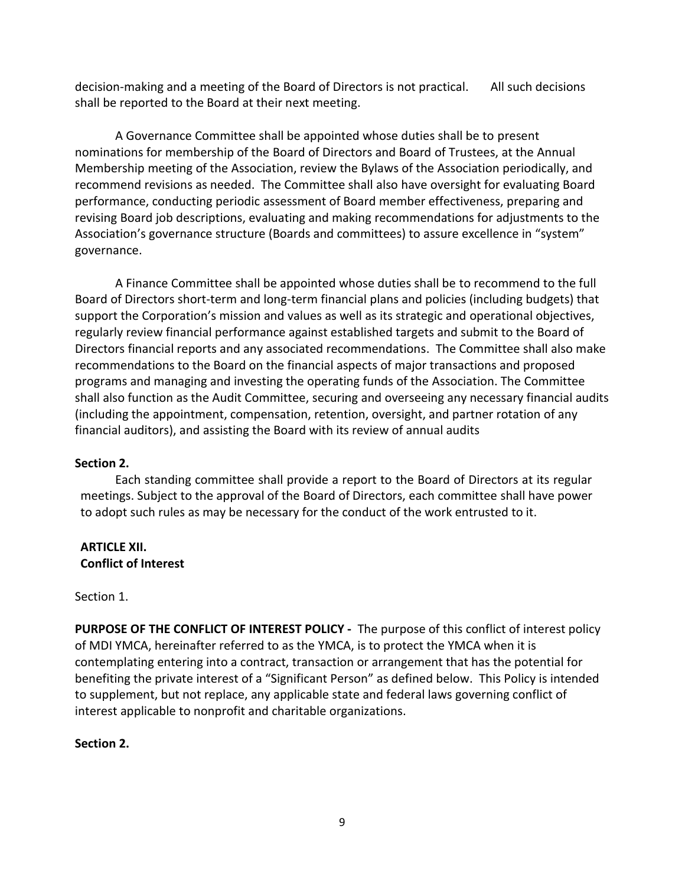decision-making and a meeting of the Board of Directors is not practical. All such decisions shall be reported to the Board at their next meeting.

A Governance Committee shall be appointed whose duties shall be to present nominations for membership of the Board of Directors and Board of Trustees, at the Annual Membership meeting of the Association, review the Bylaws of the Association periodically, and recommend revisions as needed. The Committee shall also have oversight for evaluating Board performance, conducting periodic assessment of Board member effectiveness, preparing and revising Board job descriptions, evaluating and making recommendations for adjustments to the Association's governance structure (Boards and committees) to assure excellence in "system" governance.

A Finance Committee shall be appointed whose duties shall be to recommend to the full Board of Directors short-term and long-term financial plans and policies (including budgets) that support the Corporation's mission and values as well as its strategic and operational objectives, regularly review financial performance against established targets and submit to the Board of Directors financial reports and any associated recommendations. The Committee shall also make recommendations to the Board on the financial aspects of major transactions and proposed programs and managing and investing the operating funds of the Association. The Committee shall also function as the Audit Committee, securing and overseeing any necessary financial audits (including the appointment, compensation, retention, oversight, and partner rotation of any financial auditors), and assisting the Board with its review of annual audits

# **Section 2.**

Each standing committee shall provide a report to the Board of Directors at its regular meetings. Subject to the approval of the Board of Directors, each committee shall have power to adopt such rules as may be necessary for the conduct of the work entrusted to it.

# **ARTICLE XII. Conflict of Interest**

# Section 1.

**PURPOSE OF THE CONFLICT OF INTEREST POLICY -** The purpose of this conflict of interest policy of MDI YMCA, hereinafter referred to as the YMCA, is to protect the YMCA when it is contemplating entering into a contract, transaction or arrangement that has the potential for benefiting the private interest of a "Significant Person" as defined below. This Policy is intended to supplement, but not replace, any applicable state and federal laws governing conflict of interest applicable to nonprofit and charitable organizations.

# **Section 2.**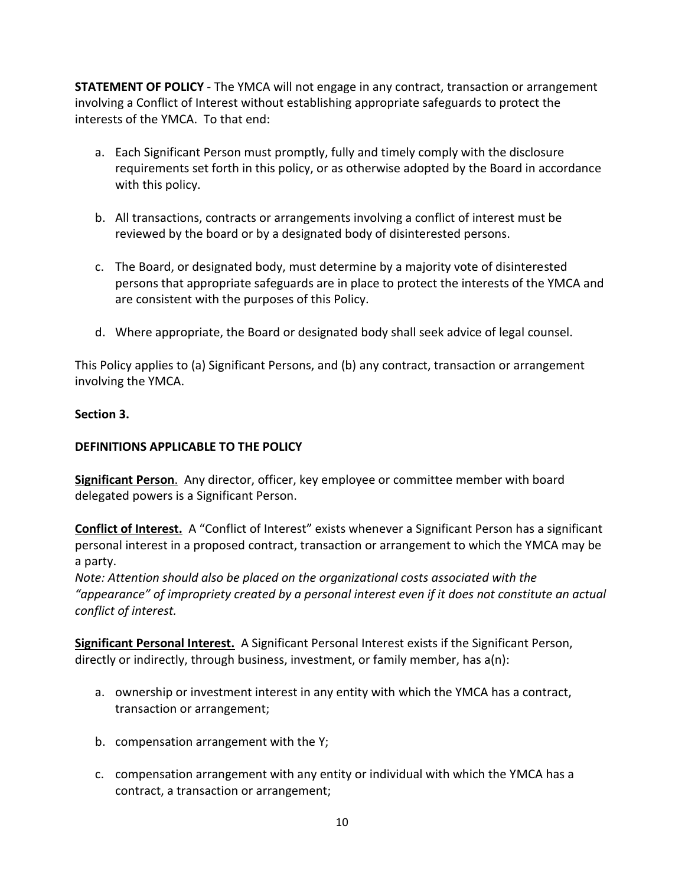**STATEMENT OF POLICY** - The YMCA will not engage in any contract, transaction or arrangement involving a Conflict of Interest without establishing appropriate safeguards to protect the interests of the YMCA. To that end:

- a. Each Significant Person must promptly, fully and timely comply with the disclosure requirements set forth in this policy, or as otherwise adopted by the Board in accordance with this policy.
- b. All transactions, contracts or arrangements involving a conflict of interest must be reviewed by the board or by a designated body of disinterested persons.
- c. The Board, or designated body, must determine by a majority vote of disinterested persons that appropriate safeguards are in place to protect the interests of the YMCA and are consistent with the purposes of this Policy.
- d. Where appropriate, the Board or designated body shall seek advice of legal counsel.

This Policy applies to (a) Significant Persons, and (b) any contract, transaction or arrangement involving the YMCA.

# **Section 3.**

# **DEFINITIONS APPLICABLE TO THE POLICY**

**Significant Person**. Any director, officer, key employee or committee member with board delegated powers is a Significant Person.

**Conflict of Interest.** A "Conflict of Interest" exists whenever a Significant Person has a significant personal interest in a proposed contract, transaction or arrangement to which the YMCA may be a party.

*Note: Attention should also be placed on the organizational costs associated with the "appearance" of impropriety created by a personal interest even if it does not constitute an actual conflict of interest.*

**Significant Personal Interest.** A Significant Personal Interest exists if the Significant Person, directly or indirectly, through business, investment, or family member, has a(n):

- a. ownership or investment interest in any entity with which the YMCA has a contract, transaction or arrangement;
- b. compensation arrangement with the Y;
- c. compensation arrangement with any entity or individual with which the YMCA has a contract, a transaction or arrangement;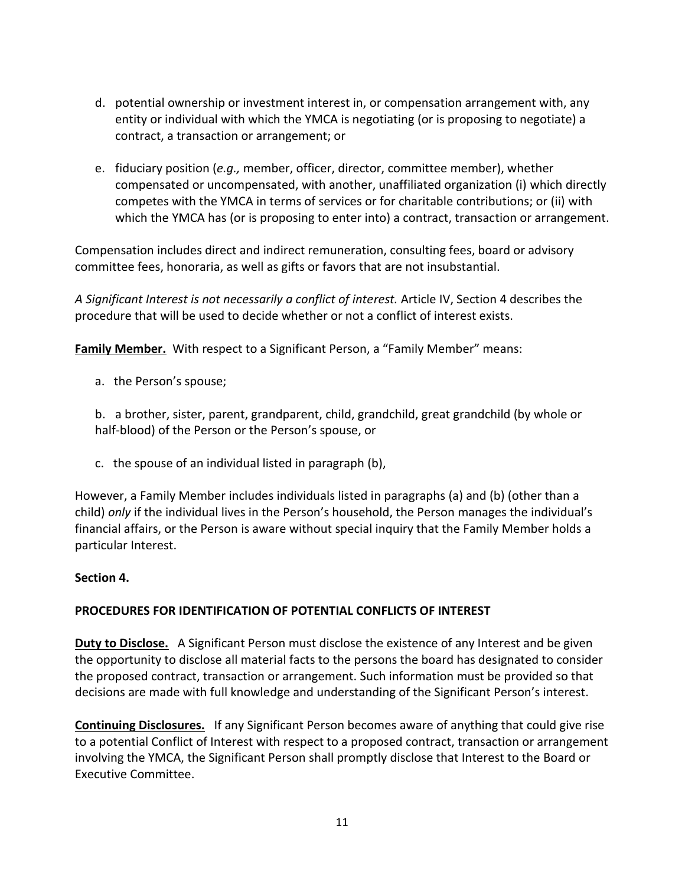- d. potential ownership or investment interest in, or compensation arrangement with, any entity or individual with which the YMCA is negotiating (or is proposing to negotiate) a contract, a transaction or arrangement; or
- e. fiduciary position (*e.g.,* member, officer, director, committee member), whether compensated or uncompensated, with another, unaffiliated organization (i) which directly competes with the YMCA in terms of services or for charitable contributions; or (ii) with which the YMCA has (or is proposing to enter into) a contract, transaction or arrangement.

Compensation includes direct and indirect remuneration, consulting fees, board or advisory committee fees, honoraria, as well as gifts or favors that are not insubstantial.

*A Significant Interest is not necessarily a conflict of interest.* Article IV, Section 4 describes the procedure that will be used to decide whether or not a conflict of interest exists.

**Family Member.** With respect to a Significant Person, a "Family Member" means:

a. the Person's spouse;

b. a brother, sister, parent, grandparent, child, grandchild, great grandchild (by whole or half-blood) of the Person or the Person's spouse, or

c. the spouse of an individual listed in paragraph (b),

However, a Family Member includes individuals listed in paragraphs (a) and (b) (other than a child) *only* if the individual lives in the Person's household, the Person manages the individual's financial affairs, or the Person is aware without special inquiry that the Family Member holds a particular Interest.

# **Section 4.**

# **PROCEDURES FOR IDENTIFICATION OF POTENTIAL CONFLICTS OF INTEREST**

**Duty to Disclose.** A Significant Person must disclose the existence of any Interest and be given the opportunity to disclose all material facts to the persons the board has designated to consider the proposed contract, transaction or arrangement. Such information must be provided so that decisions are made with full knowledge and understanding of the Significant Person's interest.

**Continuing Disclosures.** If any Significant Person becomes aware of anything that could give rise to a potential Conflict of Interest with respect to a proposed contract, transaction or arrangement involving the YMCA, the Significant Person shall promptly disclose that Interest to the Board or Executive Committee.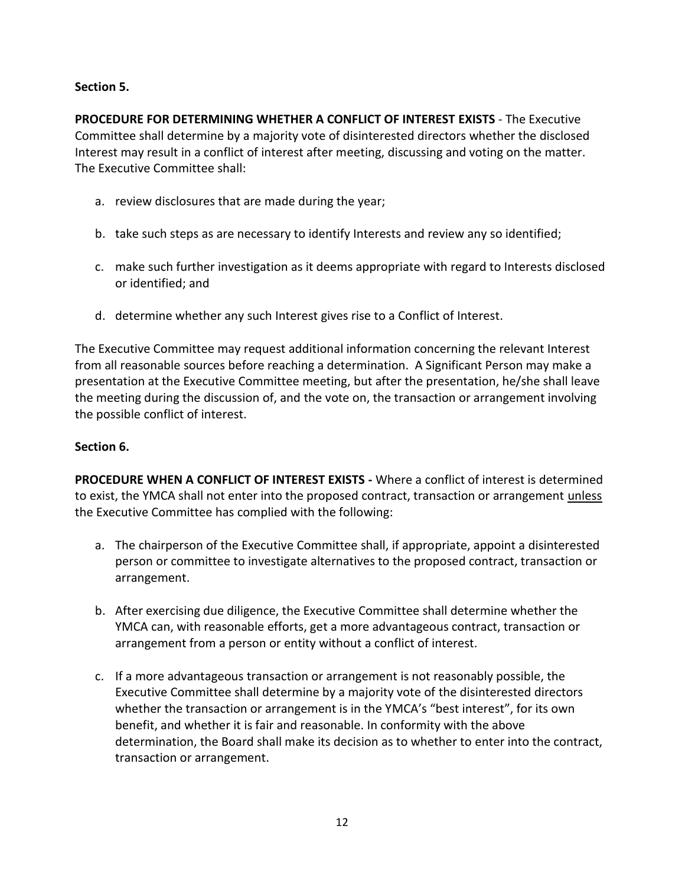# **Section 5.**

**PROCEDURE FOR DETERMINING WHETHER A CONFLICT OF INTEREST EXISTS** - The Executive Committee shall determine by a majority vote of disinterested directors whether the disclosed Interest may result in a conflict of interest after meeting, discussing and voting on the matter. The Executive Committee shall:

- a. review disclosures that are made during the year;
- b. take such steps as are necessary to identify Interests and review any so identified;
- c. make such further investigation as it deems appropriate with regard to Interests disclosed or identified; and
- d. determine whether any such Interest gives rise to a Conflict of Interest.

The Executive Committee may request additional information concerning the relevant Interest from all reasonable sources before reaching a determination. A Significant Person may make a presentation at the Executive Committee meeting, but after the presentation, he/she shall leave the meeting during the discussion of, and the vote on, the transaction or arrangement involving the possible conflict of interest.

### **Section 6.**

**PROCEDURE WHEN A CONFLICT OF INTEREST EXISTS -** Where a conflict of interest is determined to exist, the YMCA shall not enter into the proposed contract, transaction or arrangement *unless* the Executive Committee has complied with the following:

- a. The chairperson of the Executive Committee shall, if appropriate, appoint a disinterested person or committee to investigate alternatives to the proposed contract, transaction or arrangement.
- b. After exercising due diligence, the Executive Committee shall determine whether the YMCA can, with reasonable efforts, get a more advantageous contract, transaction or arrangement from a person or entity without a conflict of interest.
- c. If a more advantageous transaction or arrangement is not reasonably possible, the Executive Committee shall determine by a majority vote of the disinterested directors whether the transaction or arrangement is in the YMCA's "best interest", for its own benefit, and whether it is fair and reasonable. In conformity with the above determination, the Board shall make its decision as to whether to enter into the contract, transaction or arrangement.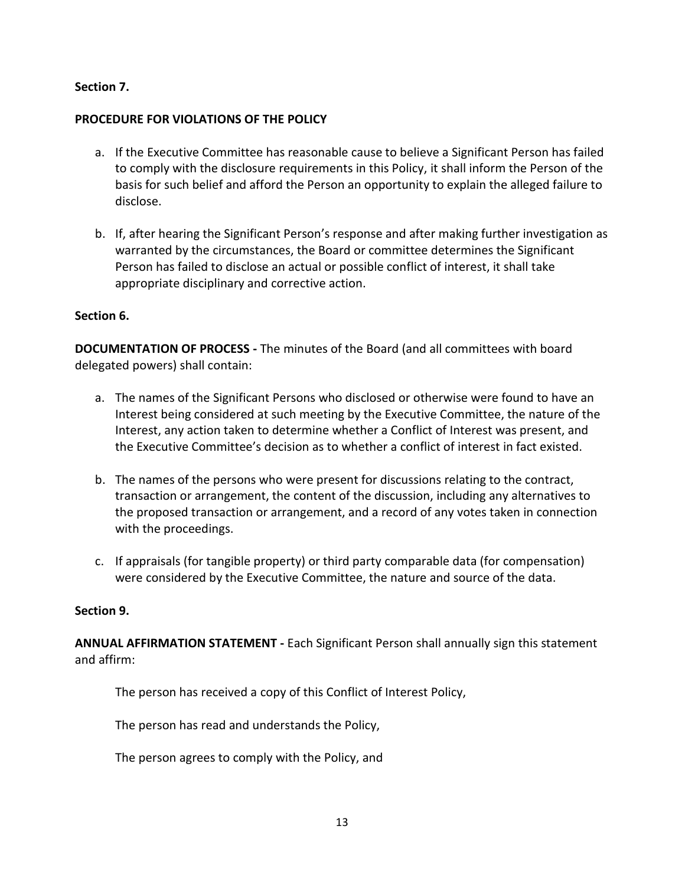# **Section 7.**

# **PROCEDURE FOR VIOLATIONS OF THE POLICY**

- a. If the Executive Committee has reasonable cause to believe a Significant Person has failed to comply with the disclosure requirements in this Policy, it shall inform the Person of the basis for such belief and afford the Person an opportunity to explain the alleged failure to disclose.
- b. If, after hearing the Significant Person's response and after making further investigation as warranted by the circumstances, the Board or committee determines the Significant Person has failed to disclose an actual or possible conflict of interest, it shall take appropriate disciplinary and corrective action.

### **Section 6.**

**DOCUMENTATION OF PROCESS -** The minutes of the Board (and all committees with board delegated powers) shall contain:

- a. The names of the Significant Persons who disclosed or otherwise were found to have an Interest being considered at such meeting by the Executive Committee, the nature of the Interest, any action taken to determine whether a Conflict of Interest was present, and the Executive Committee's decision as to whether a conflict of interest in fact existed.
- b. The names of the persons who were present for discussions relating to the contract, transaction or arrangement, the content of the discussion, including any alternatives to the proposed transaction or arrangement, and a record of any votes taken in connection with the proceedings.
- c. If appraisals (for tangible property) or third party comparable data (for compensation) were considered by the Executive Committee, the nature and source of the data.

### **Section 9.**

**ANNUAL AFFIRMATION STATEMENT -** Each Significant Person shall annually sign this statement and affirm:

The person has received a copy of this Conflict of Interest Policy,

The person has read and understands the Policy,

The person agrees to comply with the Policy, and